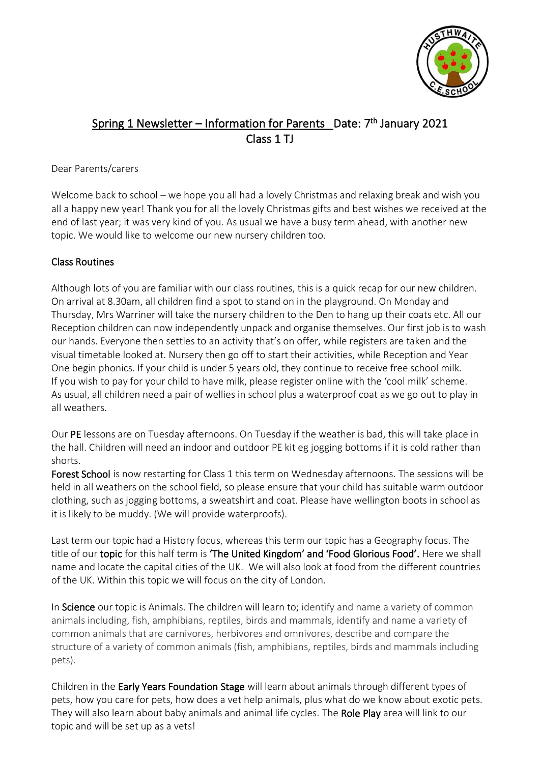

# Spring 1 Newsletter – Information for Parents Date: 7<sup>th</sup> January 2021 Class 1 TJ

#### Dear Parents/carers

Welcome back to school – we hope you all had a lovely Christmas and relaxing break and wish you all a happy new year! Thank you for all the lovely Christmas gifts and best wishes we received at the end of last year; it was very kind of you. As usual we have a busy term ahead, with another new topic. We would like to welcome our new nursery children too.

## Class Routines

Although lots of you are familiar with our class routines, this is a quick recap for our new children. On arrival at 8.30am, all children find a spot to stand on in the playground. On Monday and Thursday, Mrs Warriner will take the nursery children to the Den to hang up their coats etc. All our Reception children can now independently unpack and organise themselves. Our first job is to wash our hands. Everyone then settles to an activity that's on offer, while registers are taken and the visual timetable looked at. Nursery then go off to start their activities, while Reception and Year One begin phonics. If your child is under 5 years old, they continue to receive free school milk. If you wish to pay for your child to have milk, please register online with the 'cool milk' scheme. As usual, all children need a pair of wellies in school plus a waterproof coat as we go out to play in all weathers.

Our PE lessons are on Tuesday afternoons. On Tuesday if the weather is bad, this will take place in the hall. Children will need an indoor and outdoor PE kit eg jogging bottoms if it is cold rather than shorts.

Forest School is now restarting for Class 1 this term on Wednesday afternoons. The sessions will be held in all weathers on the school field, so please ensure that your child has suitable warm outdoor clothing, such as jogging bottoms, a sweatshirt and coat. Please have wellington boots in school as it is likely to be muddy. (We will provide waterproofs).

Last term our topic had a History focus, whereas this term our topic has a Geography focus. The title of our topic for this half term is 'The United Kingdom' and 'Food Glorious Food'. Here we shall name and locate the capital cities of the UK. We will also look at food from the different countries of the UK. Within this topic we will focus on the city of London.

In Science our topic is Animals. The children will learn to; identify and name a variety of common animals including, fish, amphibians, reptiles, birds and mammals, identify and name a variety of common animals that are carnivores, herbivores and omnivores, describe and compare the structure of a variety of common animals (fish, amphibians, reptiles, birds and mammals including pets).

Children in the Early Years Foundation Stage will learn about animals through different types of pets, how you care for pets, how does a vet help animals, plus what do we know about exotic pets. They will also learn about baby animals and animal life cycles. The Role Play area will link to our topic and will be set up as a vets!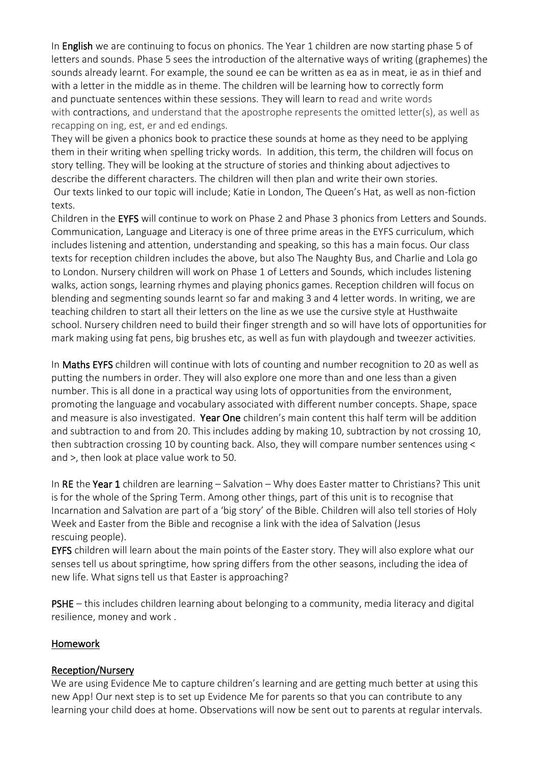In **English** we are continuing to focus on phonics. The Year 1 children are now starting phase 5 of letters and sounds. Phase 5 sees the introduction of the alternative ways of writing (graphemes) the sounds already learnt. For example, the sound ee can be written as ea as in meat, ie as in thief and with a letter in the middle as in theme. The children will be learning how to correctly form and punctuate sentences within these sessions. They will learn to read and write words with contractions, and understand that the apostrophe represents the omitted letter(s), as well as recapping on ing, est, er and ed endings.

They will be given a phonics book to practice these sounds at home as they need to be applying them in their writing when spelling tricky words. In addition, this term, the children will focus on story telling. They will be looking at the structure of stories and thinking about adjectives to describe the different characters. The children will then plan and write their own stories. Our texts linked to our topic will include; Katie in London, The Queen's Hat, as well as non-fiction texts.

Children in the EYFS will continue to work on Phase 2 and Phase 3 phonics from Letters and Sounds. Communication, Language and Literacy is one of three prime areas in the EYFS curriculum, which includes listening and attention, understanding and speaking, so this has a main focus. Our class texts for reception children includes the above, but also The Naughty Bus, and Charlie and Lola go to London. Nursery children will work on Phase 1 of Letters and Sounds, which includes listening walks, action songs, learning rhymes and playing phonics games. Reception children will focus on blending and segmenting sounds learnt so far and making 3 and 4 letter words. In writing, we are teaching children to start all their letters on the line as we use the cursive style at Husthwaite school. Nursery children need to build their finger strength and so will have lots of opportunities for mark making using fat pens, big brushes etc, as well as fun with playdough and tweezer activities.

In Maths EYFS children will continue with lots of counting and number recognition to 20 as well as putting the numbers in order. They will also explore one more than and one less than a given number. This is all done in a practical way using lots of opportunities from the environment, promoting the language and vocabulary associated with different number concepts. Shape, space and measure is also investigated. Year One children's main content this half term will be addition and subtraction to and from 20. This includes adding by making 10, subtraction by not crossing 10, then subtraction crossing 10 by counting back. Also, they will compare number sentences using < and >, then look at place value work to 50.

In RE the Year 1 children are learning – Salvation – Why does Easter matter to Christians? This unit is for the whole of the Spring Term. Among other things, part of this unit is to recognise that Incarnation and Salvation are part of a 'big story' of the Bible. Children will also tell stories of Holy Week and Easter from the Bible and recognise a link with the idea of Salvation (Jesus rescuing people).

EYFS children will learn about the main points of the Easter story. They will also explore what our senses tell us about springtime, how spring differs from the other seasons, including the idea of new life. What signs tell us that Easter is approaching?

PSHE – this includes children learning about belonging to a community, media literacy and digital resilience, money and work .

#### **Homework**

#### Reception/Nursery

We are using Evidence Me to capture children's learning and are getting much better at using this new App! Our next step is to set up Evidence Me for parents so that you can contribute to any learning your child does at home. Observations will now be sent out to parents at regular intervals.